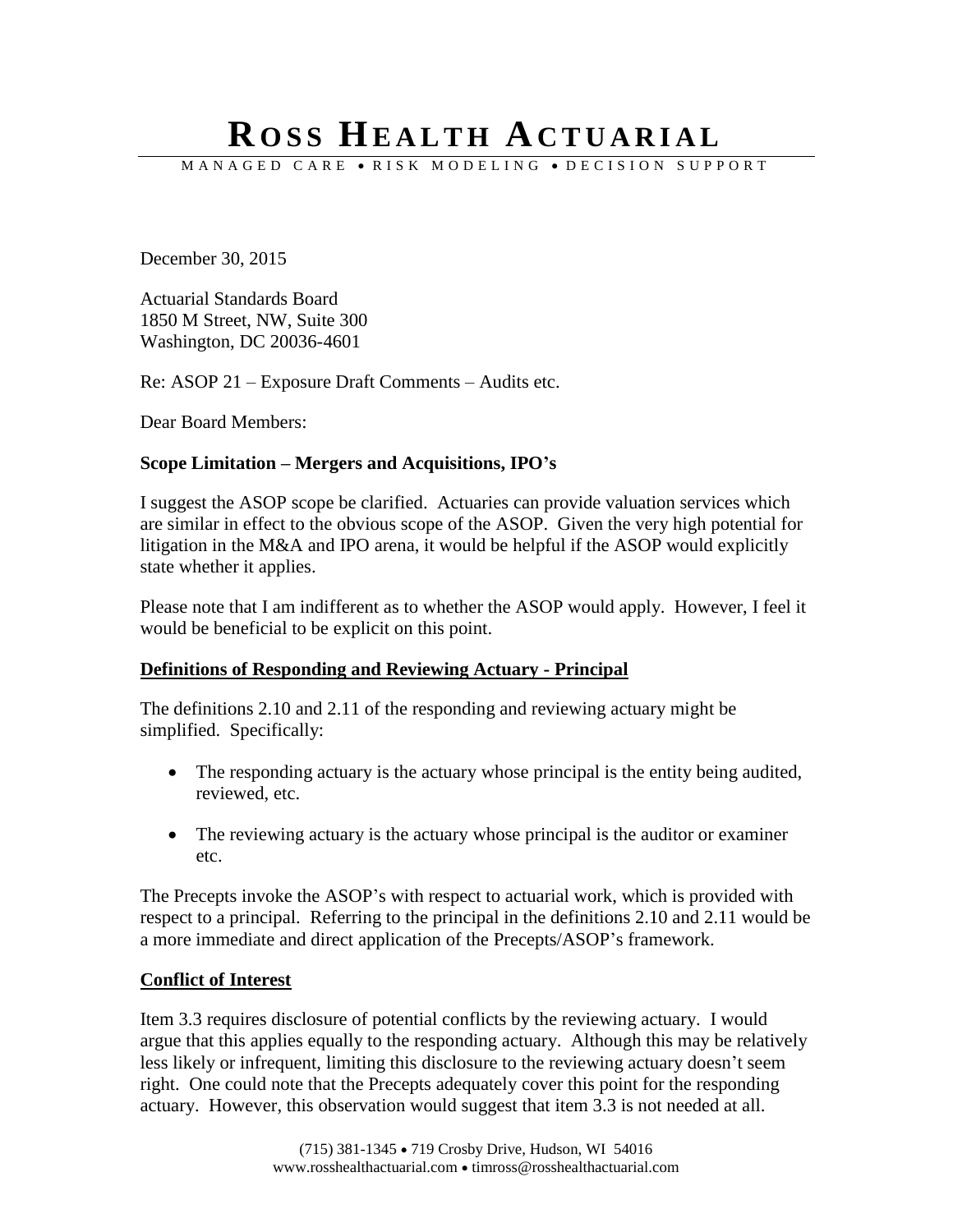# **R O S S HE A L T H AC T U A R I A L**

M A N A G E D C A R E · R I S K M O D E L I N G · D E C I S I O N S U P P O R T

December 30, 2015

Actuarial Standards Board 1850 M Street, NW, Suite 300 Washington, DC 20036-4601

Re: ASOP 21 – Exposure Draft Comments – Audits etc.

Dear Board Members:

#### **Scope Limitation – Mergers and Acquisitions, IPO's**

I suggest the ASOP scope be clarified. Actuaries can provide valuation services which are similar in effect to the obvious scope of the ASOP. Given the very high potential for litigation in the M&A and IPO arena, it would be helpful if the ASOP would explicitly state whether it applies.

Please note that I am indifferent as to whether the ASOP would apply. However, I feel it would be beneficial to be explicit on this point.

#### **Definitions of Responding and Reviewing Actuary - Principal**

The definitions 2.10 and 2.11 of the responding and reviewing actuary might be simplified. Specifically:

- The responding actuary is the actuary whose principal is the entity being audited, reviewed, etc.
- The reviewing actuary is the actuary whose principal is the auditor or examiner etc.

The Precepts invoke the ASOP's with respect to actuarial work, which is provided with respect to a principal. Referring to the principal in the definitions 2.10 and 2.11 would be a more immediate and direct application of the Precepts/ASOP's framework.

#### **Conflict of Interest**

Item 3.3 requires disclosure of potential conflicts by the reviewing actuary. I would argue that this applies equally to the responding actuary. Although this may be relatively less likely or infrequent, limiting this disclosure to the reviewing actuary doesn't seem right. One could note that the Precepts adequately cover this point for the responding actuary. However, this observation would suggest that item 3.3 is not needed at all.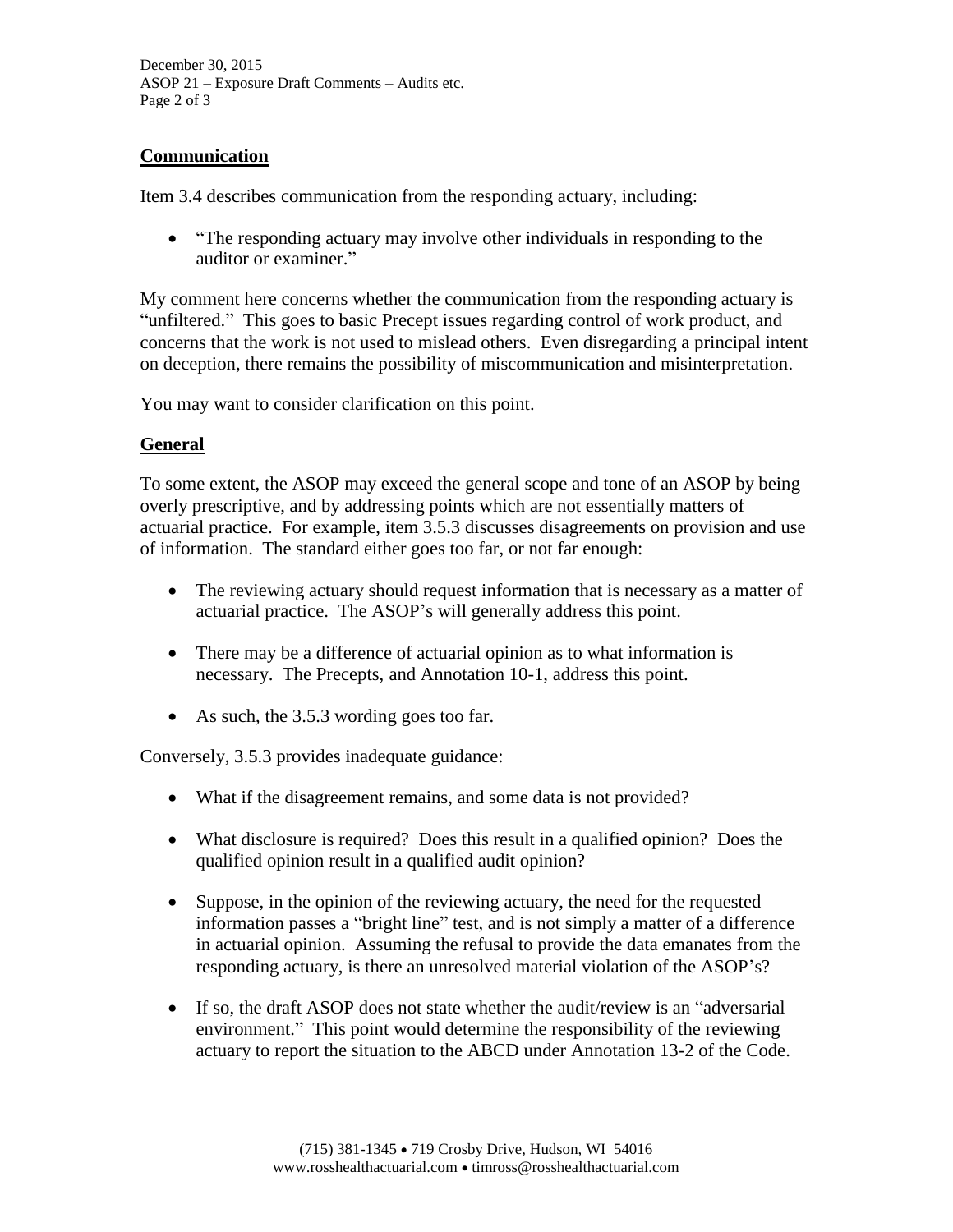December 30, 2015 ASOP 21 – Exposure Draft Comments – Audits etc. Page 2 of 3

### **Communication**

Item 3.4 describes communication from the responding actuary, including:

 "The responding actuary may involve other individuals in responding to the auditor or examiner."

My comment here concerns whether the communication from the responding actuary is "unfiltered." This goes to basic Precept issues regarding control of work product, and concerns that the work is not used to mislead others. Even disregarding a principal intent on deception, there remains the possibility of miscommunication and misinterpretation.

You may want to consider clarification on this point.

## **General**

To some extent, the ASOP may exceed the general scope and tone of an ASOP by being overly prescriptive, and by addressing points which are not essentially matters of actuarial practice. For example, item 3.5.3 discusses disagreements on provision and use of information. The standard either goes too far, or not far enough:

- The reviewing actuary should request information that is necessary as a matter of actuarial practice. The ASOP's will generally address this point.
- There may be a difference of actuarial opinion as to what information is necessary. The Precepts, and Annotation 10-1, address this point.
- As such, the 3.5.3 wording goes too far.

Conversely, 3.5.3 provides inadequate guidance:

- What if the disagreement remains, and some data is not provided?
- What disclosure is required? Does this result in a qualified opinion? Does the qualified opinion result in a qualified audit opinion?
- Suppose, in the opinion of the reviewing actuary, the need for the requested information passes a "bright line" test, and is not simply a matter of a difference in actuarial opinion. Assuming the refusal to provide the data emanates from the responding actuary, is there an unresolved material violation of the ASOP's?
- If so, the draft ASOP does not state whether the audit/review is an "adversarial environment." This point would determine the responsibility of the reviewing actuary to report the situation to the ABCD under Annotation 13-2 of the Code.